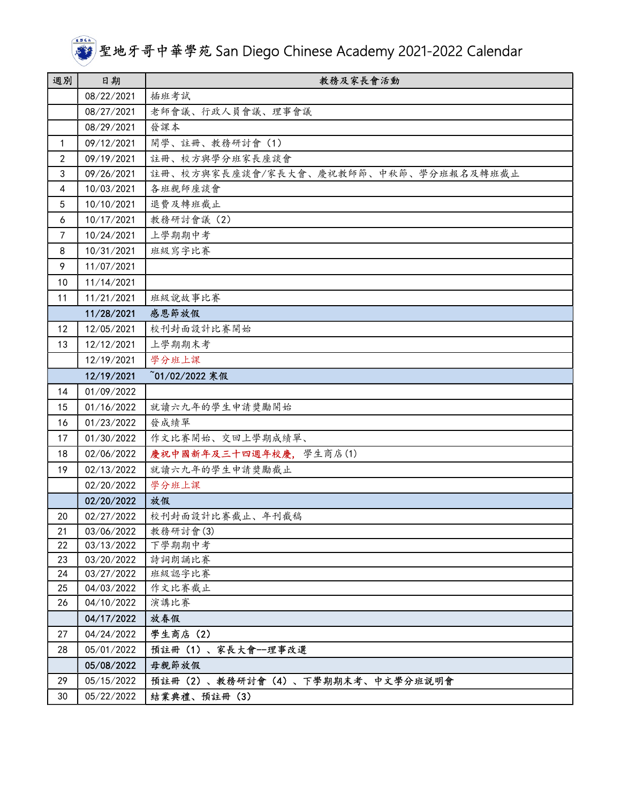## **塞**地牙哥中華學苑 San Diego Chinese Academy 2021-2022 Calendar

| 週別 | 日期         | 教務及家長會活動                              |
|----|------------|---------------------------------------|
|    | 08/22/2021 | 插班考試                                  |
|    | 08/27/2021 | 老師會議、行政人員會議、理事會議                      |
|    | 08/29/2021 | 發課本                                   |
| 1  | 09/12/2021 | 開學、註冊、教務研討會(1)                        |
| 2  | 09/19/2021 | 註冊、校方與學分班家長座談會                        |
| 3  | 09/26/2021 | 註冊、校方與家長座談會/家長大會、慶祝教師節、中秋節、學分班報名及轉班截止 |
| 4  | 10/03/2021 | 各班親師座談會                               |
| 5  | 10/10/2021 | 退費及轉班截止                               |
| 6  | 10/17/2021 | 教務研討會議(2)                             |
| 7  | 10/24/2021 | 上學期期中考                                |
| 8  | 10/31/2021 | 班級寫字比賽                                |
| 9  | 11/07/2021 |                                       |
| 10 | 11/14/2021 |                                       |
| 11 | 11/21/2021 | 班級說故事比賽                               |
|    | 11/28/2021 | 感恩節放假                                 |
| 12 | 12/05/2021 | 校刊封面設計比賽開始                            |
| 13 | 12/12/2021 | 上學期期末考                                |
|    | 12/19/2021 | 學分班上課                                 |
|    | 12/19/2021 | ~01/02/2022 寒假                        |
| 14 | 01/09/2022 |                                       |
| 15 | 01/16/2022 | 就讀六九年的學生申請獎勵開始                        |
| 16 | 01/23/2022 | 發成績單                                  |
| 17 | 01/30/2022 | 作文比賽開始、交回上學期成績單、                      |
| 18 | 02/06/2022 | 慶祝中國新年及三十四週年校慶, 學生商店(1)               |
| 19 | 02/13/2022 | 就讀六九年的學生申請獎勵截止                        |
|    | 02/20/2022 | 學分班上課                                 |
|    | 02/20/2022 | 放假                                    |
| 20 | 02/27/2022 | 校刊封面設計比賽截止、年刊截稿                       |
| 21 | 03/06/2022 | 教務研討會(3)                              |
| 22 | 03/13/2022 | 下學期期中考                                |
| 23 | 03/20/2022 | 詩詞朗誦比賽                                |
| 24 | 03/27/2022 | 班級認字比賽                                |
| 25 | 04/03/2022 | 作文比賽截止                                |
| 26 | 04/10/2022 | 演講比賽                                  |
|    | 04/17/2022 | 放春假                                   |
| 27 | 04/24/2022 | 學生商店(2)                               |
| 28 | 05/01/2022 | 預註冊 (1)、家長大會一理事改選                     |
|    | 05/08/2022 | 母親節放假                                 |
| 29 | 05/15/2022 | 預註冊(2)、教務研討會(4)、下學期期末考、中文學分班説明會       |
| 30 | 05/22/2022 | 結業典禮、預註冊 (3)                          |